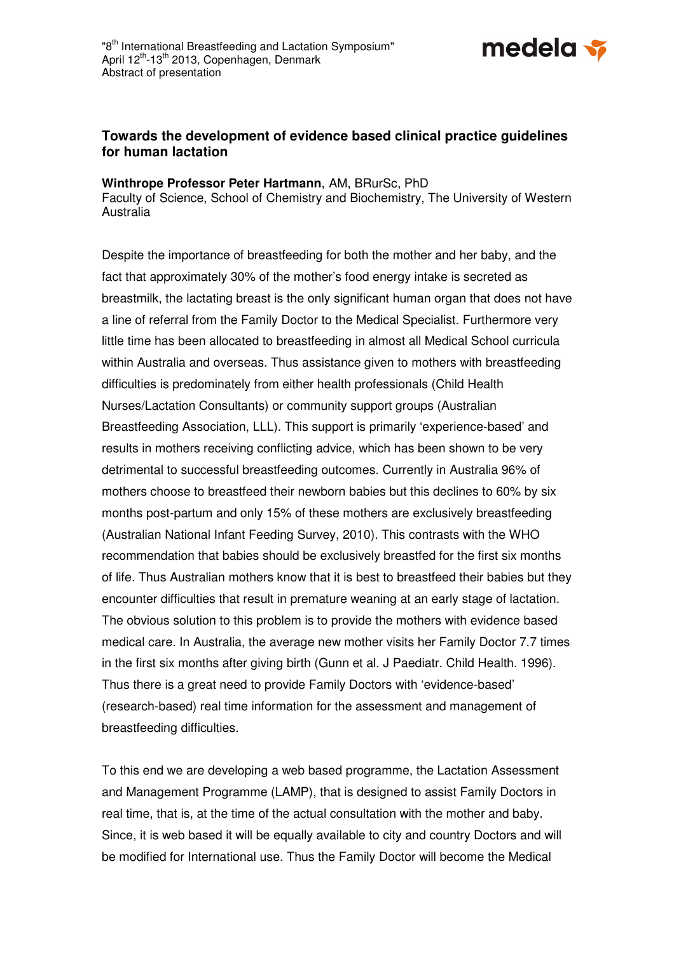

## **Towards the development of evidence based clinical practice guidelines for human lactation**

## **Winthrope Professor Peter Hartmann**, AM, BRurSc, PhD

Faculty of Science, School of Chemistry and Biochemistry, The University of Western Australia

Despite the importance of breastfeeding for both the mother and her baby, and the fact that approximately 30% of the mother's food energy intake is secreted as breastmilk, the lactating breast is the only significant human organ that does not have a line of referral from the Family Doctor to the Medical Specialist. Furthermore very little time has been allocated to breastfeeding in almost all Medical School curricula within Australia and overseas. Thus assistance given to mothers with breastfeeding difficulties is predominately from either health professionals (Child Health Nurses/Lactation Consultants) or community support groups (Australian Breastfeeding Association, LLL). This support is primarily 'experience-based' and results in mothers receiving conflicting advice, which has been shown to be very detrimental to successful breastfeeding outcomes. Currently in Australia 96% of mothers choose to breastfeed their newborn babies but this declines to 60% by six months post-partum and only 15% of these mothers are exclusively breastfeeding (Australian National Infant Feeding Survey, 2010). This contrasts with the WHO recommendation that babies should be exclusively breastfed for the first six months of life. Thus Australian mothers know that it is best to breastfeed their babies but they encounter difficulties that result in premature weaning at an early stage of lactation. The obvious solution to this problem is to provide the mothers with evidence based medical care. In Australia, the average new mother visits her Family Doctor 7.7 times in the first six months after giving birth (Gunn et al. J Paediatr. Child Health. 1996). Thus there is a great need to provide Family Doctors with 'evidence-based' (research-based) real time information for the assessment and management of breastfeeding difficulties.

To this end we are developing a web based programme, the Lactation Assessment and Management Programme (LAMP), that is designed to assist Family Doctors in real time, that is, at the time of the actual consultation with the mother and baby. Since, it is web based it will be equally available to city and country Doctors and will be modified for International use. Thus the Family Doctor will become the Medical